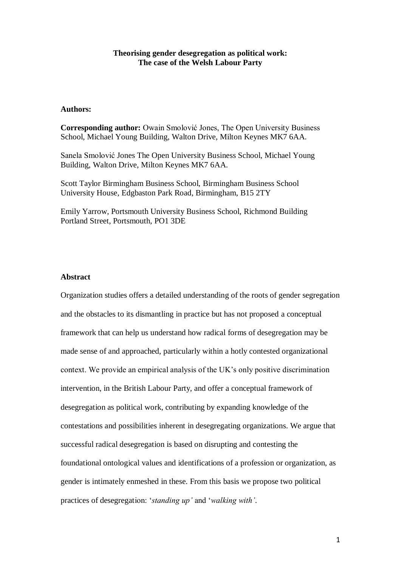## **Theorising gender desegregation as political work: The case of the Welsh Labour Party**

# **Authors:**

**Corresponding author:** Owain Smolović Jones, The Open University Business School, Michael Young Building, Walton Drive, Milton Keynes MK7 6AA.

Sanela Smolović Jones The Open University Business School, Michael Young Building, Walton Drive, Milton Keynes MK7 6AA.

Scott Taylor Birmingham Business School, Birmingham Business School University House, Edgbaston Park Road, Birmingham, B15 2TY

Emily Yarrow, Portsmouth University Business School, Richmond Building Portland Street, Portsmouth, PO1 3DE

## **Abstract**

Organization studies offers a detailed understanding of the roots of gender segregation and the obstacles to its dismantling in practice but has not proposed a conceptual framework that can help us understand how radical forms of desegregation may be made sense of and approached, particularly within a hotly contested organizational context. We provide an empirical analysis of the UK's only positive discrimination intervention, in the British Labour Party, and offer a conceptual framework of desegregation as political work, contributing by expanding knowledge of the contestations and possibilities inherent in desegregating organizations. We argue that successful radical desegregation is based on disrupting and contesting the foundational ontological values and identifications of a profession or organization, as gender is intimately enmeshed in these. From this basis we propose two political practices of desegregation: '*standing up'* and '*walking with'*.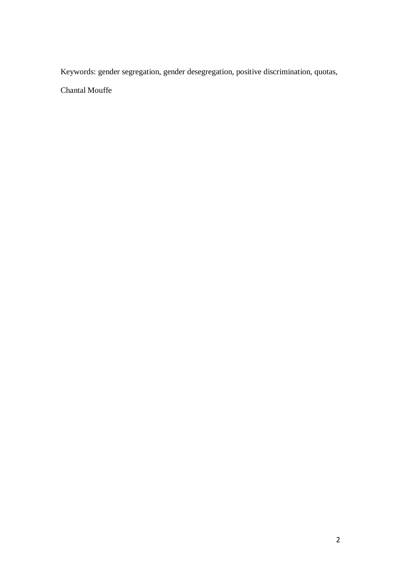Keywords: gender segregation, gender desegregation, positive discrimination, quotas,

Chantal Mouffe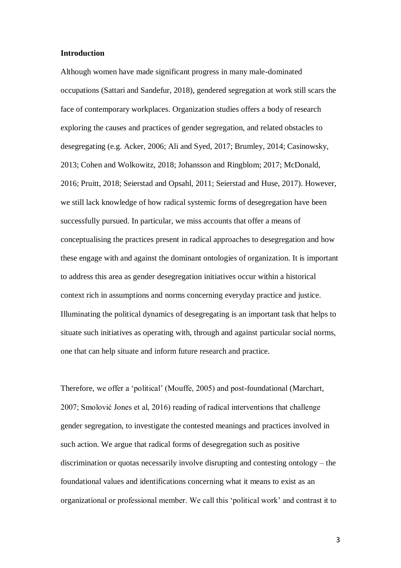#### **Introduction**

Although women have made significant progress in many male-dominated occupations (Sattari and Sandefur, 2018), gendered segregation at work still scars the face of contemporary workplaces. Organization studies offers a body of research exploring the causes and practices of gender segregation, and related obstacles to desegregating (e.g. Acker, 2006; Ali and Syed, 2017; Brumley, 2014; Casinowsky, 2013; Cohen and Wolkowitz, 2018; Johansson and Ringblom; 2017; McDonald, 2016; Pruitt, 2018; Seierstad and Opsahl, 2011; Seierstad and Huse, 2017). However, we still lack knowledge of how radical systemic forms of desegregation have been successfully pursued. In particular, we miss accounts that offer a means of conceptualising the practices present in radical approaches to desegregation and how these engage with and against the dominant ontologies of organization. It is important to address this area as gender desegregation initiatives occur within a historical context rich in assumptions and norms concerning everyday practice and justice. Illuminating the political dynamics of desegregating is an important task that helps to situate such initiatives as operating with, through and against particular social norms, one that can help situate and inform future research and practice.

Therefore, we offer a 'political' (Mouffe, 2005) and post-foundational (Marchart, 2007; Smolović Jones et al, 2016) reading of radical interventions that challenge gender segregation, to investigate the contested meanings and practices involved in such action. We argue that radical forms of desegregation such as positive discrimination or quotas necessarily involve disrupting and contesting ontology – the foundational values and identifications concerning what it means to exist as an organizational or professional member. We call this 'political work' and contrast it to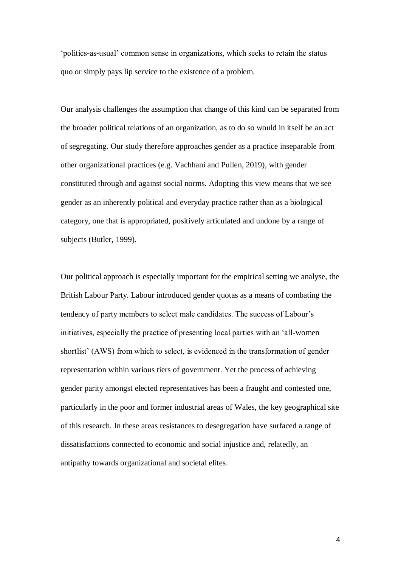'politics-as-usual' common sense in organizations, which seeks to retain the status quo or simply pays lip service to the existence of a problem.

Our analysis challenges the assumption that change of this kind can be separated from the broader political relations of an organization, as to do so would in itself be an act of segregating. Our study therefore approaches gender as a practice inseparable from other organizational practices (e.g. Vachhani and Pullen, 2019), with gender constituted through and against social norms. Adopting this view means that we see gender as an inherently political and everyday practice rather than as a biological category, one that is appropriated, positively articulated and undone by a range of subjects (Butler, 1999).

Our political approach is especially important for the empirical setting we analyse, the British Labour Party. Labour introduced gender quotas as a means of combating the tendency of party members to select male candidates. The success of Labour's initiatives, especially the practice of presenting local parties with an 'all-women shortlist' (AWS) from which to select, is evidenced in the transformation of gender representation within various tiers of government. Yet the process of achieving gender parity amongst elected representatives has been a fraught and contested one, particularly in the poor and former industrial areas of Wales, the key geographical site of this research. In these areas resistances to desegregation have surfaced a range of dissatisfactions connected to economic and social injustice and, relatedly, an antipathy towards organizational and societal elites.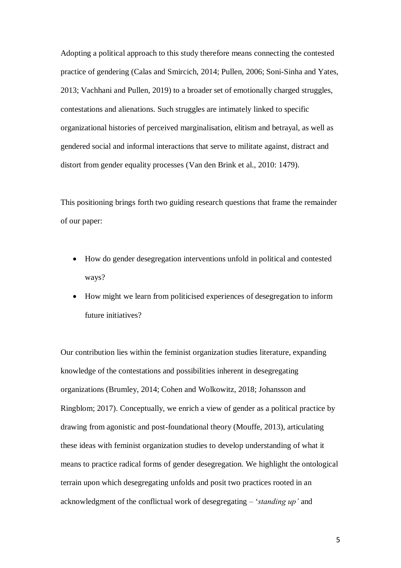Adopting a political approach to this study therefore means connecting the contested practice of gendering (Calas and Smircich, 2014; Pullen, 2006; Soni-Sinha and Yates, 2013; Vachhani and Pullen, 2019) to a broader set of emotionally charged struggles, contestations and alienations. Such struggles are intimately linked to specific organizational histories of perceived marginalisation, elitism and betrayal, as well as gendered social and informal interactions that serve to militate against, distract and distort from gender equality processes (Van den Brink et al., 2010: 1479).

This positioning brings forth two guiding research questions that frame the remainder of our paper:

- How do gender desegregation interventions unfold in political and contested ways?
- How might we learn from politicised experiences of desegregation to inform future initiatives?

Our contribution lies within the feminist organization studies literature, expanding knowledge of the contestations and possibilities inherent in desegregating organizations (Brumley, 2014; Cohen and Wolkowitz, 2018; Johansson and Ringblom; 2017). Conceptually, we enrich a view of gender as a political practice by drawing from agonistic and post-foundational theory (Mouffe, 2013), articulating these ideas with feminist organization studies to develop understanding of what it means to practice radical forms of gender desegregation. We highlight the ontological terrain upon which desegregating unfolds and posit two practices rooted in an acknowledgment of the conflictual work of desegregating – '*standing up'* and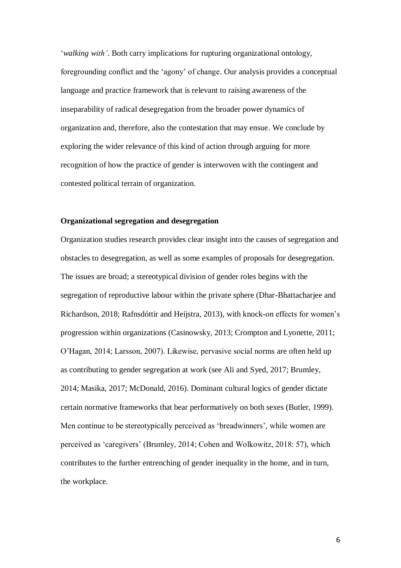'*walking with'*. Both carry implications for rupturing organizational ontology, foregrounding conflict and the 'agony' of change. Our analysis provides a conceptual language and practice framework that is relevant to raising awareness of the inseparability of radical desegregation from the broader power dynamics of organization and, therefore, also the contestation that may ensue. We conclude by exploring the wider relevance of this kind of action through arguing for more recognition of how the practice of gender is interwoven with the contingent and contested political terrain of organization.

## **Organizational segregation and desegregation**

Organization studies research provides clear insight into the causes of segregation and obstacles to desegregation, as well as some examples of proposals for desegregation. The issues are broad; a stereotypical division of gender roles begins with the segregation of reproductive labour within the private sphere (Dhar-Bhattacharjee and Richardson, 2018; Rafnsdóttir and Heijstra, 2013), with knock-on effects for women's progression within organizations (Casinowsky, 2013; Crompton and Lyonette, 2011; O'Hagan, 2014; Larsson, 2007). Likewise, pervasive social norms are often held up as contributing to gender segregation at work (see Ali and Syed, 2017; Brumley, 2014; Masika, 2017; McDonald, 2016). Dominant cultural logics of gender dictate certain normative frameworks that bear performatively on both sexes (Butler, 1999). Men continue to be stereotypically perceived as 'breadwinners', while women are perceived as 'caregivers' (Brumley, 2014; Cohen and Wolkowitz, 2018: 57), which contributes to the further entrenching of gender inequality in the home, and in turn, the workplace.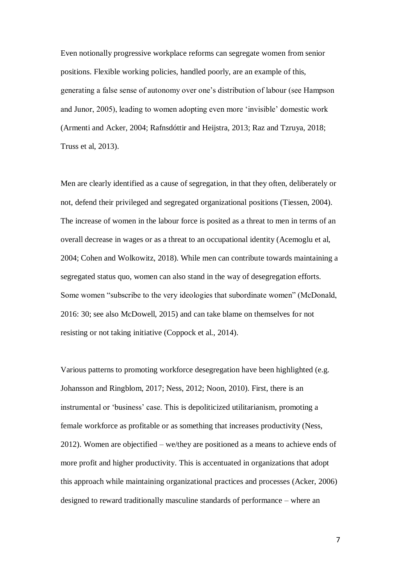Even notionally progressive workplace reforms can segregate women from senior positions. Flexible working policies, handled poorly, are an example of this, generating a false sense of autonomy over one's distribution of labour (see Hampson and Junor, 2005), leading to women adopting even more 'invisible' domestic work (Armenti and Acker, 2004; Rafnsdóttir and Heijstra, 2013; Raz and Tzruya, 2018; Truss et al, 2013).

Men are clearly identified as a cause of segregation, in that they often, deliberately or not, defend their privileged and segregated organizational positions (Tiessen, 2004). The increase of women in the labour force is posited as a threat to men in terms of an overall decrease in wages or as a threat to an occupational identity (Acemoglu et al, 2004; Cohen and Wolkowitz, 2018). While men can contribute towards maintaining a segregated status quo, women can also stand in the way of desegregation efforts. Some women "subscribe to the very ideologies that subordinate women" (McDonald, 2016: 30; see also McDowell, 2015) and can take blame on themselves for not resisting or not taking initiative (Coppock et al., 2014).

Various patterns to promoting workforce desegregation have been highlighted (e.g. Johansson and Ringblom, 2017; Ness, 2012; Noon, 2010). First, there is an instrumental or 'business' case. This is depoliticized utilitarianism, promoting a female workforce as profitable or as something that increases productivity (Ness, 2012). Women are objectified – we/they are positioned as a means to achieve ends of more profit and higher productivity. This is accentuated in organizations that adopt this approach while maintaining organizational practices and processes (Acker, 2006) designed to reward traditionally masculine standards of performance – where an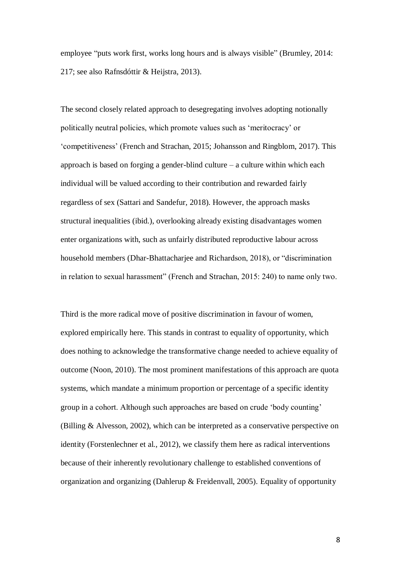employee "puts work first, works long hours and is always visible" (Brumley, 2014: 217; see also Rafnsdóttir & Heijstra, 2013).

The second closely related approach to desegregating involves adopting notionally politically neutral policies, which promote values such as 'meritocracy' or 'competitiveness' (French and Strachan, 2015; Johansson and Ringblom, 2017). This approach is based on forging a gender-blind culture – a culture within which each individual will be valued according to their contribution and rewarded fairly regardless of sex (Sattari and Sandefur, 2018). However, the approach masks structural inequalities (ibid.), overlooking already existing disadvantages women enter organizations with, such as unfairly distributed reproductive labour across household members (Dhar-Bhattacharjee and Richardson, 2018), or "discrimination in relation to sexual harassment" (French and Strachan, 2015: 240) to name only two.

Third is the more radical move of positive discrimination in favour of women, explored empirically here. This stands in contrast to equality of opportunity, which does nothing to acknowledge the transformative change needed to achieve equality of outcome (Noon, 2010). The most prominent manifestations of this approach are quota systems, which mandate a minimum proportion or percentage of a specific identity group in a cohort. Although such approaches are based on crude 'body counting' (Billing & Alvesson, 2002), which can be interpreted as a conservative perspective on identity (Forstenlechner et al., 2012), we classify them here as radical interventions because of their inherently revolutionary challenge to established conventions of organization and organizing (Dahlerup & Freidenvall, 2005). Equality of opportunity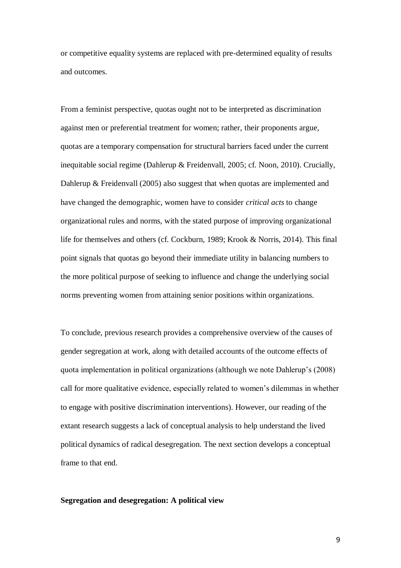or competitive equality systems are replaced with pre-determined equality of results and outcomes.

From a feminist perspective, quotas ought not to be interpreted as discrimination against men or preferential treatment for women; rather, their proponents argue, quotas are a temporary compensation for structural barriers faced under the current inequitable social regime (Dahlerup & Freidenvall, 2005; cf. Noon, 2010). Crucially, Dahlerup & Freidenvall (2005) also suggest that when quotas are implemented and have changed the demographic, women have to consider *critical acts* to change organizational rules and norms, with the stated purpose of improving organizational life for themselves and others (cf. Cockburn, 1989; Krook & Norris, 2014). This final point signals that quotas go beyond their immediate utility in balancing numbers to the more political purpose of seeking to influence and change the underlying social norms preventing women from attaining senior positions within organizations.

To conclude, previous research provides a comprehensive overview of the causes of gender segregation at work, along with detailed accounts of the outcome effects of quota implementation in political organizations (although we note Dahlerup's (2008) call for more qualitative evidence, especially related to women's dilemmas in whether to engage with positive discrimination interventions). However, our reading of the extant research suggests a lack of conceptual analysis to help understand the lived political dynamics of radical desegregation. The next section develops a conceptual frame to that end.

### **Segregation and desegregation: A political view**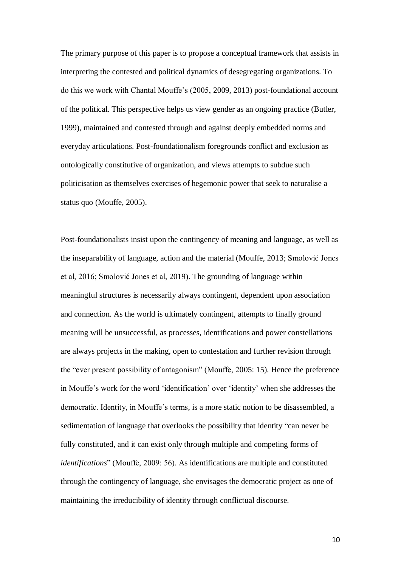The primary purpose of this paper is to propose a conceptual framework that assists in interpreting the contested and political dynamics of desegregating organizations. To do this we work with Chantal Mouffe's (2005, 2009, 2013) post-foundational account of the political. This perspective helps us view gender as an ongoing practice (Butler, 1999), maintained and contested through and against deeply embedded norms and everyday articulations. Post-foundationalism foregrounds conflict and exclusion as ontologically constitutive of organization, and views attempts to subdue such politicisation as themselves exercises of hegemonic power that seek to naturalise a status quo (Mouffe, 2005).

Post-foundationalists insist upon the contingency of meaning and language, as well as the inseparability of language, action and the material (Mouffe, 2013; Smolović Jones et al, 2016; Smolović Jones et al, 2019). The grounding of language within meaningful structures is necessarily always contingent, dependent upon association and connection. As the world is ultimately contingent, attempts to finally ground meaning will be unsuccessful, as processes, identifications and power constellations are always projects in the making, open to contestation and further revision through the "ever present possibility of antagonism" (Mouffe, 2005: 15). Hence the preference in Mouffe's work for the word 'identification' over 'identity' when she addresses the democratic. Identity, in Mouffe's terms, is a more static notion to be disassembled, a sedimentation of language that overlooks the possibility that identity "can never be fully constituted, and it can exist only through multiple and competing forms of *identifications*" (Mouffe, 2009: 56). As identifications are multiple and constituted through the contingency of language, she envisages the democratic project as one of maintaining the irreducibility of identity through conflictual discourse.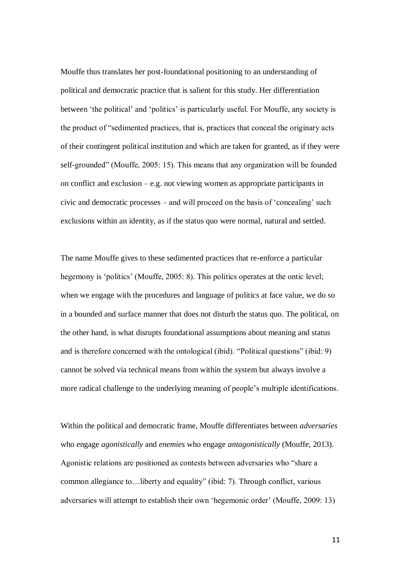Mouffe thus translates her post-foundational positioning to an understanding of political and democratic practice that is salient for this study. Her differentiation between 'the political' and 'politics' is particularly useful. For Mouffe, any society is the product of "sedimented practices, that is, practices that conceal the originary acts of their contingent political institution and which are taken for granted, as if they were self-grounded" (Mouffe, 2005: 15). This means that any organization will be founded on conflict and exclusion – e.g. not viewing women as appropriate participants in civic and democratic processes – and will proceed on the basis of 'concealing' such exclusions within an identity, as if the status quo were normal, natural and settled.

The name Mouffe gives to these sedimented practices that re-enforce a particular hegemony is 'politics' (Mouffe, 2005: 8). This politics operates at the ontic level; when we engage with the procedures and language of politics at face value, we do so in a bounded and surface manner that does not disturb the status quo. The political, on the other hand, is what disrupts foundational assumptions about meaning and status and is therefore concerned with the ontological (ibid). "Political questions" (ibid: 9) cannot be solved via technical means from within the system but always involve a more radical challenge to the underlying meaning of people's multiple identifications.

Within the political and democratic frame, Mouffe differentiates between *adversaries* who engage *agonistically* and *enemies* who engage *antagonistically* (Mouffe, 2013). Agonistic relations are positioned as contests between adversaries who "share a common allegiance to…liberty and equality" (ibid: 7). Through conflict, various adversaries will attempt to establish their own 'hegemonic order' (Mouffe, 2009: 13)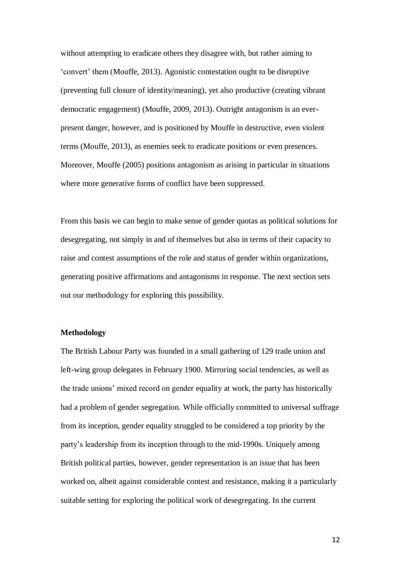without attempting to eradicate others they disagree with, but rather aiming to 'convert' them (Mouffe, 2013). Agonistic contestation ought to be disruptive (preventing full closure of identity/meaning), yet also productive (creating vibrant democratic engagement) (Mouffe, 2009, 2013). Outright antagonism is an everpresent danger, however, and is positioned by Mouffe in destructive, even violent terms (Mouffe, 2013), as enemies seek to eradicate positions or even presences. Moreover, Mouffe (2005) positions antagonism as arising in particular in situations where more generative forms of conflict have been suppressed.

From this basis we can begin to make sense of gender quotas as political solutions for desegregating, not simply in and of themselves but also in terms of their capacity to raise and contest assumptions of the role and status of gender within organizations, generating positive affirmations and antagonisms in response. The next section sets out our methodology for exploring this possibility.

#### **Methodology**

The British Labour Party was founded in a small gathering of 129 trade union and left-wing group delegates in February 1900. Mirroring social tendencies, as well as the trade unions' mixed record on gender equality at work, the party has historically had a problem of gender segregation. While officially committed to universal suffrage from its inception, gender equality struggled to be considered a top priority by the party's leadership from its inception through to the mid-1990s. Uniquely among British political parties, however, gender representation is an issue that has been worked on, albeit against considerable contest and resistance, making it a particularly suitable setting for exploring the political work of desegregating. In the current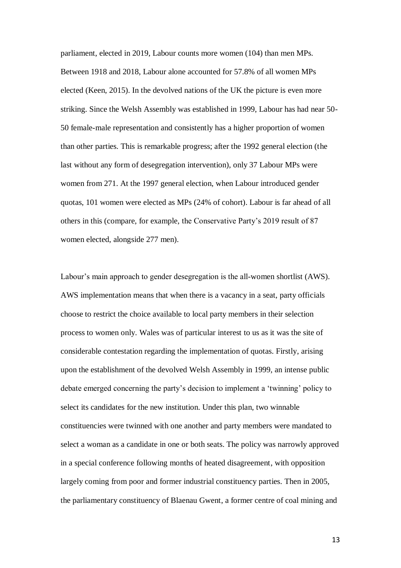parliament, elected in 2019, Labour counts more women (104) than men MPs. Between 1918 and 2018, Labour alone accounted for 57.8% of all women MPs elected (Keen, 2015). In the devolved nations of the UK the picture is even more striking. Since the Welsh Assembly was established in 1999, Labour has had near 50- 50 female-male representation and consistently has a higher proportion of women than other parties. This is remarkable progress; after the 1992 general election (the last without any form of desegregation intervention), only 37 Labour MPs were women from 271. At the 1997 general election, when Labour introduced gender quotas, 101 women were elected as MPs (24% of cohort). Labour is far ahead of all others in this (compare, for example, the Conservative Party's 2019 result of 87 women elected, alongside 277 men).

Labour's main approach to gender desegregation is the all-women shortlist (AWS). AWS implementation means that when there is a vacancy in a seat, party officials choose to restrict the choice available to local party members in their selection process to women only. Wales was of particular interest to us as it was the site of considerable contestation regarding the implementation of quotas. Firstly, arising upon the establishment of the devolved Welsh Assembly in 1999, an intense public debate emerged concerning the party's decision to implement a 'twinning' policy to select its candidates for the new institution. Under this plan, two winnable constituencies were twinned with one another and party members were mandated to select a woman as a candidate in one or both seats. The policy was narrowly approved in a special conference following months of heated disagreement, with opposition largely coming from poor and former industrial constituency parties. Then in 2005, the parliamentary constituency of Blaenau Gwent, a former centre of coal mining and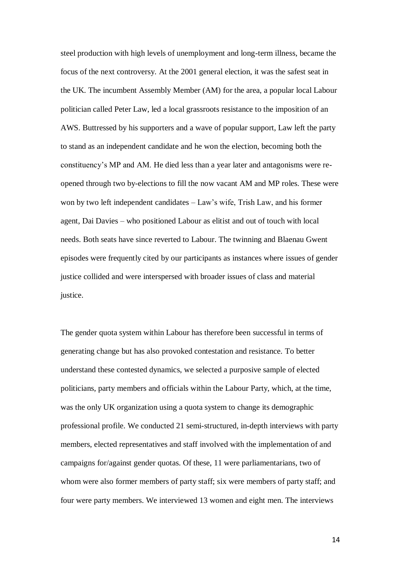steel production with high levels of unemployment and long-term illness, became the focus of the next controversy. At the 2001 general election, it was the safest seat in the UK. The incumbent Assembly Member (AM) for the area, a popular local Labour politician called Peter Law, led a local grassroots resistance to the imposition of an AWS. Buttressed by his supporters and a wave of popular support, Law left the party to stand as an independent candidate and he won the election, becoming both the constituency's MP and AM. He died less than a year later and antagonisms were reopened through two by-elections to fill the now vacant AM and MP roles. These were won by two left independent candidates – Law's wife, Trish Law, and his former agent, Dai Davies – who positioned Labour as elitist and out of touch with local needs. Both seats have since reverted to Labour. The twinning and Blaenau Gwent episodes were frequently cited by our participants as instances where issues of gender justice collided and were interspersed with broader issues of class and material justice.

The gender quota system within Labour has therefore been successful in terms of generating change but has also provoked contestation and resistance. To better understand these contested dynamics, we selected a purposive sample of elected politicians, party members and officials within the Labour Party, which, at the time, was the only UK organization using a quota system to change its demographic professional profile. We conducted 21 semi-structured, in-depth interviews with party members, elected representatives and staff involved with the implementation of and campaigns for/against gender quotas. Of these, 11 were parliamentarians, two of whom were also former members of party staff; six were members of party staff; and four were party members. We interviewed 13 women and eight men. The interviews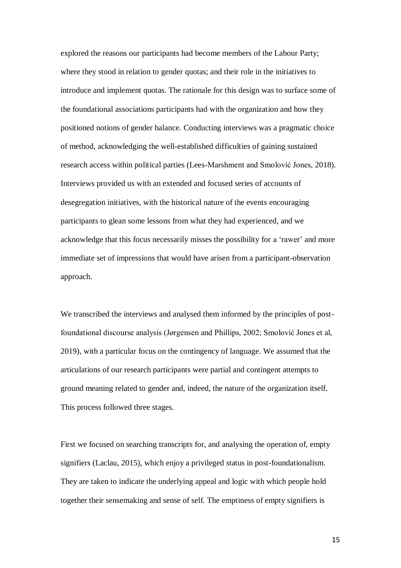explored the reasons our participants had become members of the Labour Party; where they stood in relation to gender quotas; and their role in the initiatives to introduce and implement quotas. The rationale for this design was to surface some of the foundational associations participants had with the organization and how they positioned notions of gender balance. Conducting interviews was a pragmatic choice of method, acknowledging the well-established difficulties of gaining sustained research access within political parties (Lees-Marshment and Smolović Jones, 2018). Interviews provided us with an extended and focused series of accounts of desegregation initiatives, with the historical nature of the events encouraging participants to glean some lessons from what they had experienced, and we acknowledge that this focus necessarily misses the possibility for a 'rawer' and more immediate set of impressions that would have arisen from a participant-observation approach.

We transcribed the interviews and analysed them informed by the principles of postfoundational discourse analysis (Jørgensen and Phillips, 2002; Smolović Jones et al, 2019), with a particular focus on the contingency of language. We assumed that the articulations of our research participants were partial and contingent attempts to ground meaning related to gender and, indeed, the nature of the organization itself. This process followed three stages.

First we focused on searching transcripts for, and analysing the operation of, empty signifiers (Laclau, 2015), which enjoy a privileged status in post-foundationalism. They are taken to indicate the underlying appeal and logic with which people hold together their sensemaking and sense of self. The emptiness of empty signifiers is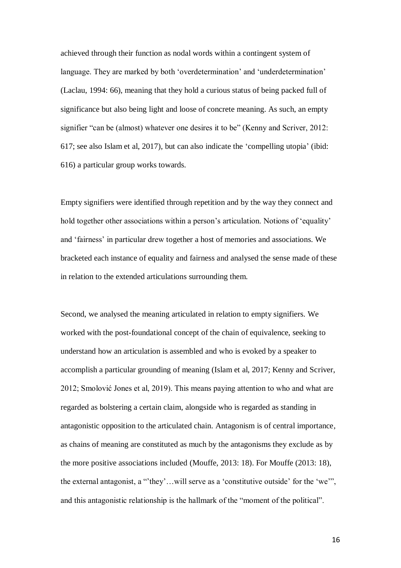achieved through their function as nodal words within a contingent system of language. They are marked by both 'overdetermination' and 'underdetermination' (Laclau, 1994: 66), meaning that they hold a curious status of being packed full of significance but also being light and loose of concrete meaning. As such, an empty signifier "can be (almost) whatever one desires it to be" (Kenny and Scriver, 2012: 617; see also Islam et al, 2017), but can also indicate the 'compelling utopia' (ibid: 616) a particular group works towards.

Empty signifiers were identified through repetition and by the way they connect and hold together other associations within a person's articulation. Notions of 'equality' and 'fairness' in particular drew together a host of memories and associations. We bracketed each instance of equality and fairness and analysed the sense made of these in relation to the extended articulations surrounding them.

Second, we analysed the meaning articulated in relation to empty signifiers. We worked with the post-foundational concept of the chain of equivalence, seeking to understand how an articulation is assembled and who is evoked by a speaker to accomplish a particular grounding of meaning (Islam et al, 2017; Kenny and Scriver, 2012; Smolović Jones et al, 2019). This means paying attention to who and what are regarded as bolstering a certain claim, alongside who is regarded as standing in antagonistic opposition to the articulated chain. Antagonism is of central importance, as chains of meaning are constituted as much by the antagonisms they exclude as by the more positive associations included (Mouffe, 2013: 18). For Mouffe (2013: 18), the external antagonist, a "'they'…will serve as a 'constitutive outside' for the 'we'", and this antagonistic relationship is the hallmark of the "moment of the political".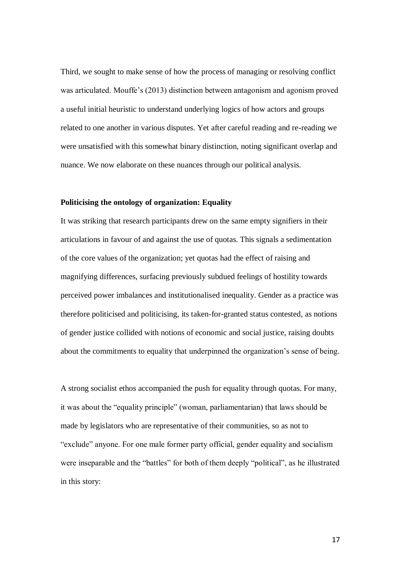Third, we sought to make sense of how the process of managing or resolving conflict was articulated. Mouffe's (2013) distinction between antagonism and agonism proved a useful initial heuristic to understand underlying logics of how actors and groups related to one another in various disputes. Yet after careful reading and re-reading we were unsatisfied with this somewhat binary distinction, noting significant overlap and nuance. We now elaborate on these nuances through our political analysis.

### **Politicising the ontology of organization: Equality**

It was striking that research participants drew on the same empty signifiers in their articulations in favour of and against the use of quotas. This signals a sedimentation of the core values of the organization; yet quotas had the effect of raising and magnifying differences, surfacing previously subdued feelings of hostility towards perceived power imbalances and institutionalised inequality. Gender as a practice was therefore politicised and politicising, its taken-for-granted status contested, as notions of gender justice collided with notions of economic and social justice, raising doubts about the commitments to equality that underpinned the organization's sense of being.

A strong socialist ethos accompanied the push for equality through quotas. For many, it was about the "equality principle" (woman, parliamentarian) that laws should be made by legislators who are representative of their communities, so as not to "exclude" anyone. For one male former party official, gender equality and socialism were inseparable and the "battles" for both of them deeply "political", as he illustrated in this story: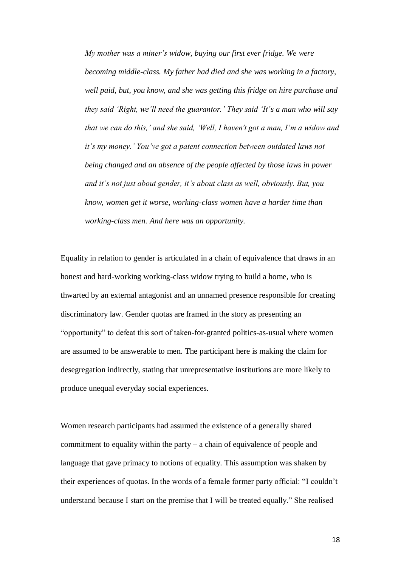*My mother was a miner's widow, buying our first ever fridge. We were becoming middle-class. My father had died and she was working in a factory, well paid, but, you know, and she was getting this fridge on hire purchase and they said 'Right, we'll need the guarantor.' They said 'It's a man who will say that we can do this,' and she said, 'Well, I haven't got a man, I'm a widow and it's my money.' You've got a patent connection between outdated laws not being changed and an absence of the people affected by those laws in power and it's not just about gender, it's about class as well, obviously. But, you know, women get it worse, working-class women have a harder time than working-class men. And here was an opportunity.*

Equality in relation to gender is articulated in a chain of equivalence that draws in an honest and hard-working working-class widow trying to build a home, who is thwarted by an external antagonist and an unnamed presence responsible for creating discriminatory law. Gender quotas are framed in the story as presenting an "opportunity" to defeat this sort of taken-for-granted politics-as-usual where women are assumed to be answerable to men. The participant here is making the claim for desegregation indirectly, stating that unrepresentative institutions are more likely to produce unequal everyday social experiences.

Women research participants had assumed the existence of a generally shared commitment to equality within the party – a chain of equivalence of people and language that gave primacy to notions of equality. This assumption was shaken by their experiences of quotas. In the words of a female former party official: "I couldn't understand because I start on the premise that I will be treated equally." She realised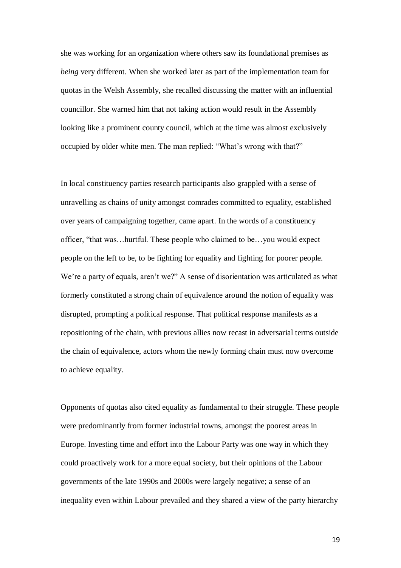she was working for an organization where others saw its foundational premises as *being* very different. When she worked later as part of the implementation team for quotas in the Welsh Assembly, she recalled discussing the matter with an influential councillor. She warned him that not taking action would result in the Assembly looking like a prominent county council, which at the time was almost exclusively occupied by older white men. The man replied: "What's wrong with that?"

In local constituency parties research participants also grappled with a sense of unravelling as chains of unity amongst comrades committed to equality, established over years of campaigning together, came apart. In the words of a constituency officer, "that was…hurtful. These people who claimed to be…you would expect people on the left to be, to be fighting for equality and fighting for poorer people. We're a party of equals, aren't we?" A sense of disorientation was articulated as what formerly constituted a strong chain of equivalence around the notion of equality was disrupted, prompting a political response. That political response manifests as a repositioning of the chain, with previous allies now recast in adversarial terms outside the chain of equivalence, actors whom the newly forming chain must now overcome to achieve equality.

Opponents of quotas also cited equality as fundamental to their struggle. These people were predominantly from former industrial towns, amongst the poorest areas in Europe. Investing time and effort into the Labour Party was one way in which they could proactively work for a more equal society, but their opinions of the Labour governments of the late 1990s and 2000s were largely negative; a sense of an inequality even within Labour prevailed and they shared a view of the party hierarchy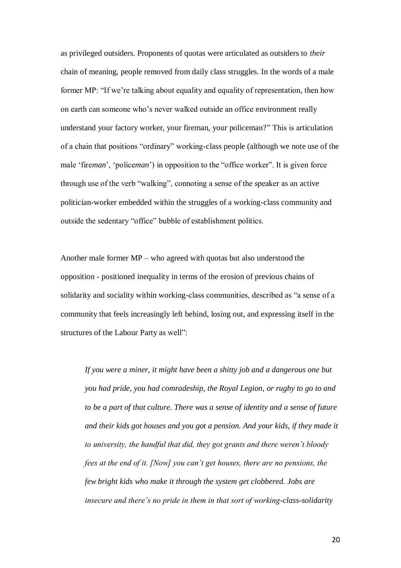as privileged outsiders. Proponents of quotas were articulated as outsiders to *their* chain of meaning, people removed from daily class struggles. In the words of a male former MP: "If we're talking about equality and equality of representation, then how on earth can someone who's never walked outside an office environment really understand your factory worker, your fireman, your policeman?" This is articulation of a chain that positions "ordinary" working-class people (although we note use of the male 'fire*man*', 'police*man*') in opposition to the "office worker". It is given force through use of the verb "walking", connoting a sense of the speaker as an active politician-worker embedded within the struggles of a working-class community and outside the sedentary "office" bubble of establishment politics.

Another male former MP – who agreed with quotas but also understood the opposition - positioned inequality in terms of the erosion of previous chains of solidarity and sociality within working-class communities, described as "a sense of a community that feels increasingly left behind, losing out, and expressing itself in the structures of the Labour Party as well":

*If you were a miner, it might have been a shitty job and a dangerous one but you had pride, you had comradeship, the Royal Legion, or rugby to go to and to be a part of that culture. There was a sense of identity and a sense of future and their kids got houses and you got a pension. And your kids, if they made it to university, the handful that did, they got grants and there weren't bloody fees at the end of it. [Now] you can't get houses, there are no pensions, the few bright kids who make it through the system get clobbered. Jobs are insecure and there's no pride in them in that sort of working-class-solidarity*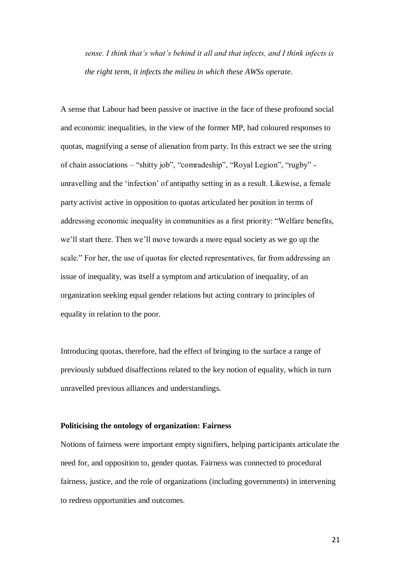*sense. I think that's what's behind it all and that infects, and I think infects is the right term, it infects the milieu in which these AWSs operate.*

A sense that Labour had been passive or inactive in the face of these profound social and economic inequalities, in the view of the former MP, had coloured responses to quotas, magnifying a sense of alienation from party. In this extract we see the string of chain associations – "shitty job", "comradeship", "Royal Legion", "rugby" unravelling and the 'infection' of antipathy setting in as a result. Likewise, a female party activist active in opposition to quotas articulated her position in terms of addressing economic inequality in communities as a first priority: "Welfare benefits, we'll start there. Then we'll move towards a more equal society as we go up the scale." For her, the use of quotas for elected representatives, far from addressing an issue of inequality, was itself a symptom and articulation of inequality, of an organization seeking equal gender relations but acting contrary to principles of equality in relation to the poor.

Introducing quotas, therefore, had the effect of bringing to the surface a range of previously subdued disaffections related to the key notion of equality, which in turn unravelled previous alliances and understandings.

### **Politicising the ontology of organization: Fairness**

Notions of fairness were important empty signifiers, helping participants articulate the need for, and opposition to, gender quotas. Fairness was connected to procedural fairness, justice, and the role of organizations (including governments) in intervening to redress opportunities and outcomes.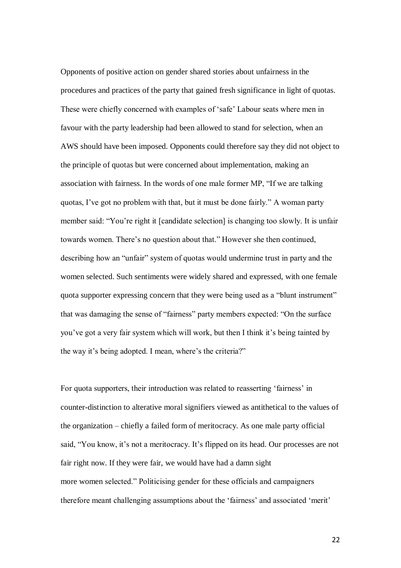Opponents of positive action on gender shared stories about unfairness in the procedures and practices of the party that gained fresh significance in light of quotas. These were chiefly concerned with examples of 'safe' Labour seats where men in favour with the party leadership had been allowed to stand for selection, when an AWS should have been imposed. Opponents could therefore say they did not object to the principle of quotas but were concerned about implementation, making an association with fairness. In the words of one male former MP, "If we are talking quotas, I've got no problem with that, but it must be done fairly." A woman party member said: "You're right it [candidate selection] is changing too slowly. It is unfair towards women. There's no question about that." However she then continued, describing how an "unfair" system of quotas would undermine trust in party and the women selected. Such sentiments were widely shared and expressed, with one female quota supporter expressing concern that they were being used as a "blunt instrument" that was damaging the sense of "fairness" party members expected: "On the surface you've got a very fair system which will work, but then I think it's being tainted by the way it's being adopted. I mean, where's the criteria?"

For quota supporters, their introduction was related to reasserting 'fairness' in counter-distinction to alterative moral signifiers viewed as antithetical to the values of the organization – chiefly a failed form of meritocracy. As one male party official said, "You know, it's not a meritocracy. It's flipped on its head. Our processes are not fair right now. If they were fair, we would have had a damn sight more women selected." Politicising gender for these officials and campaigners therefore meant challenging assumptions about the 'fairness' and associated 'merit'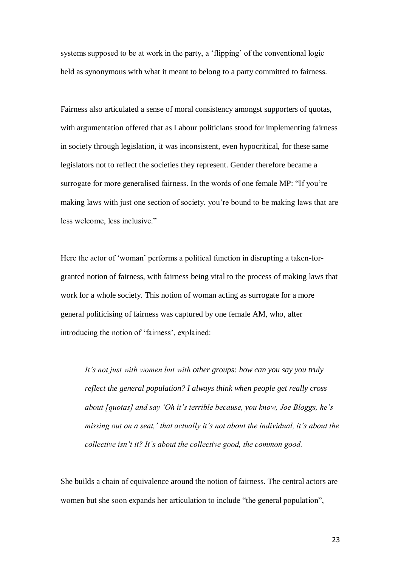systems supposed to be at work in the party, a 'flipping' of the conventional logic held as synonymous with what it meant to belong to a party committed to fairness.

Fairness also articulated a sense of moral consistency amongst supporters of quotas, with argumentation offered that as Labour politicians stood for implementing fairness in society through legislation, it was inconsistent, even hypocritical, for these same legislators not to reflect the societies they represent. Gender therefore became a surrogate for more generalised fairness. In the words of one female MP: "If you're making laws with just one section of society, you're bound to be making laws that are less welcome, less inclusive."

Here the actor of 'woman' performs a political function in disrupting a taken-forgranted notion of fairness, with fairness being vital to the process of making laws that work for a whole society. This notion of woman acting as surrogate for a more general politicising of fairness was captured by one female AM, who, after introducing the notion of 'fairness', explained:

*It's not just with women but with other groups: how can you say you truly reflect the general population? I always think when people get really cross about [quotas] and say 'Oh it's terrible because, you know, Joe Bloggs, he's missing out on a seat,' that actually it's not about the individual, it's about the collective isn't it? It's about the collective good, the common good.*

She builds a chain of equivalence around the notion of fairness. The central actors are women but she soon expands her articulation to include "the general population",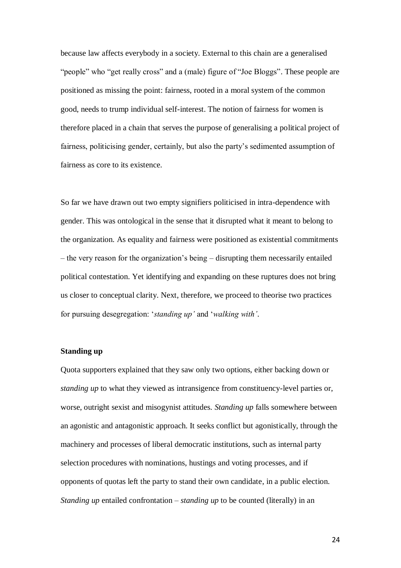because law affects everybody in a society. External to this chain are a generalised "people" who "get really cross" and a (male) figure of "Joe Bloggs". These people are positioned as missing the point: fairness, rooted in a moral system of the common good, needs to trump individual self-interest. The notion of fairness for women is therefore placed in a chain that serves the purpose of generalising a political project of fairness, politicising gender, certainly, but also the party's sedimented assumption of fairness as core to its existence.

So far we have drawn out two empty signifiers politicised in intra-dependence with gender. This was ontological in the sense that it disrupted what it meant to belong to the organization. As equality and fairness were positioned as existential commitments – the very reason for the organization's being – disrupting them necessarily entailed political contestation. Yet identifying and expanding on these ruptures does not bring us closer to conceptual clarity. Next, therefore, we proceed to theorise two practices for pursuing desegregation: '*standing up'* and '*walking with'*.

## **Standing up**

Quota supporters explained that they saw only two options, either backing down or *standing up* to what they viewed as intransigence from constituency-level parties or, worse, outright sexist and misogynist attitudes. *Standing up* falls somewhere between an agonistic and antagonistic approach. It seeks conflict but agonistically, through the machinery and processes of liberal democratic institutions, such as internal party selection procedures with nominations, hustings and voting processes, and if opponents of quotas left the party to stand their own candidate, in a public election. *Standing up* entailed confrontation – *standing up* to be counted (literally) in an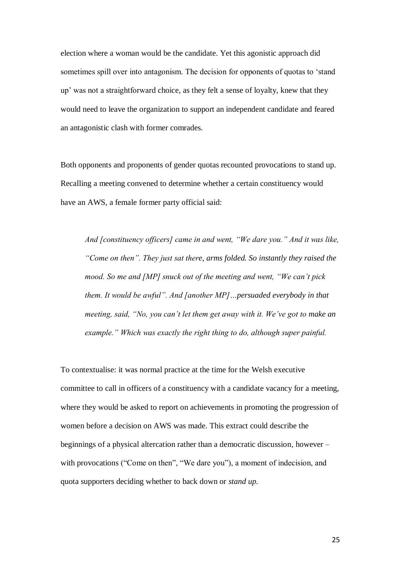election where a woman would be the candidate. Yet this agonistic approach did sometimes spill over into antagonism. The decision for opponents of quotas to 'stand up' was not a straightforward choice, as they felt a sense of loyalty, knew that they would need to leave the organization to support an independent candidate and feared an antagonistic clash with former comrades.

Both opponents and proponents of gender quotas recounted provocations to stand up. Recalling a meeting convened to determine whether a certain constituency would have an AWS, a female former party official said:

*And [constituency officers] came in and went, "We dare you." And it was like, "Come on then". They just sat there, arms folded. So instantly they raised the mood. So me and [MP] snuck out of the meeting and went, "We can't pick them. It would be awful". And [another MP]…persuaded everybody in that meeting, said, "No, you can't let them get away with it. We've got to make an example." Which was exactly the right thing to do, although super painful.*

To contextualise: it was normal practice at the time for the Welsh executive committee to call in officers of a constituency with a candidate vacancy for a meeting, where they would be asked to report on achievements in promoting the progression of women before a decision on AWS was made. This extract could describe the beginnings of a physical altercation rather than a democratic discussion, however – with provocations ("Come on then", "We dare you"), a moment of indecision, and quota supporters deciding whether to back down or *stand up*.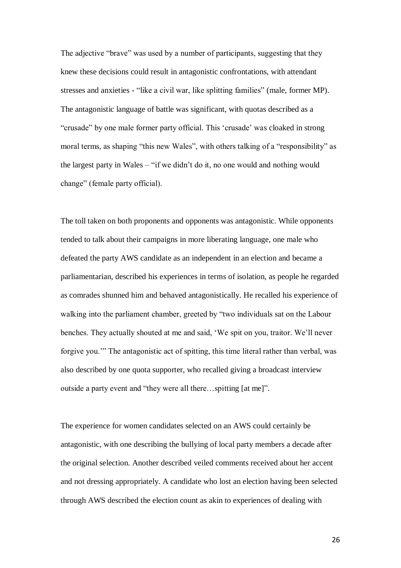The adjective "brave" was used by a number of participants, suggesting that they knew these decisions could result in antagonistic confrontations, with attendant stresses and anxieties - "like a civil war, like splitting families" (male, former MP). The antagonistic language of battle was significant, with quotas described as a "crusade" by one male former party official. This 'crusade' was cloaked in strong moral terms, as shaping "this new Wales", with others talking of a "responsibility" as the largest party in Wales – "if we didn't do it, no one would and nothing would change" (female party official).

The toll taken on both proponents and opponents was antagonistic. While opponents tended to talk about their campaigns in more liberating language, one male who defeated the party AWS candidate as an independent in an election and became a parliamentarian, described his experiences in terms of isolation, as people he regarded as comrades shunned him and behaved antagonistically. He recalled his experience of walking into the parliament chamber, greeted by "two individuals sat on the Labour benches. They actually shouted at me and said, 'We spit on you, traitor. We'll never forgive you.'" The antagonistic act of spitting, this time literal rather than verbal, was also described by one quota supporter, who recalled giving a broadcast interview outside a party event and "they were all there…spitting [at me]".

The experience for women candidates selected on an AWS could certainly be antagonistic, with one describing the bullying of local party members a decade after the original selection. Another described veiled comments received about her accent and not dressing appropriately. A candidate who lost an election having been selected through AWS described the election count as akin to experiences of dealing with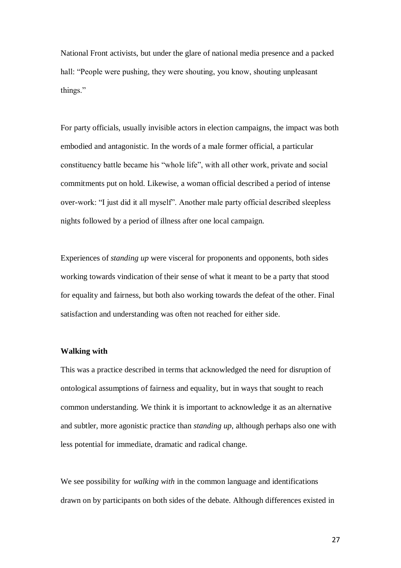National Front activists, but under the glare of national media presence and a packed hall: "People were pushing, they were shouting, you know, shouting unpleasant things."

For party officials, usually invisible actors in election campaigns, the impact was both embodied and antagonistic. In the words of a male former official, a particular constituency battle became his "whole life", with all other work, private and social commitments put on hold. Likewise, a woman official described a period of intense over-work: "I just did it all myself". Another male party official described sleepless nights followed by a period of illness after one local campaign.

Experiences of *standing up* were visceral for proponents and opponents, both sides working towards vindication of their sense of what it meant to be a party that stood for equality and fairness, but both also working towards the defeat of the other. Final satisfaction and understanding was often not reached for either side.

# **Walking with**

This was a practice described in terms that acknowledged the need for disruption of ontological assumptions of fairness and equality, but in ways that sought to reach common understanding. We think it is important to acknowledge it as an alternative and subtler, more agonistic practice than *standing up*, although perhaps also one with less potential for immediate, dramatic and radical change.

We see possibility for *walking with* in the common language and identifications drawn on by participants on both sides of the debate. Although differences existed in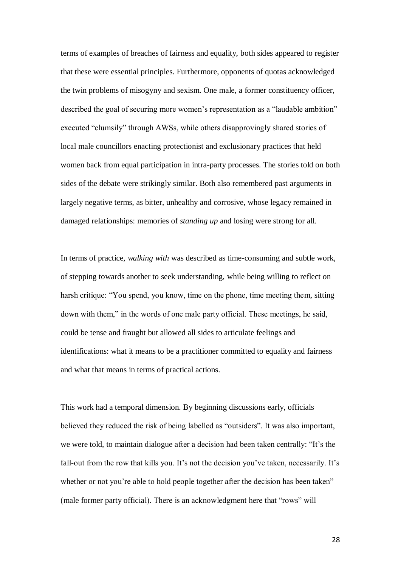terms of examples of breaches of fairness and equality, both sides appeared to register that these were essential principles. Furthermore, opponents of quotas acknowledged the twin problems of misogyny and sexism. One male, a former constituency officer, described the goal of securing more women's representation as a "laudable ambition" executed "clumsily" through AWSs, while others disapprovingly shared stories of local male councillors enacting protectionist and exclusionary practices that held women back from equal participation in intra-party processes. The stories told on both sides of the debate were strikingly similar. Both also remembered past arguments in largely negative terms, as bitter, unhealthy and corrosive, whose legacy remained in damaged relationships: memories of *standing up* and losing were strong for all.

In terms of practice, *walking with* was described as time-consuming and subtle work, of stepping towards another to seek understanding, while being willing to reflect on harsh critique: "You spend, you know, time on the phone, time meeting them, sitting down with them," in the words of one male party official. These meetings, he said, could be tense and fraught but allowed all sides to articulate feelings and identifications: what it means to be a practitioner committed to equality and fairness and what that means in terms of practical actions.

This work had a temporal dimension. By beginning discussions early, officials believed they reduced the risk of being labelled as "outsiders". It was also important, we were told, to maintain dialogue after a decision had been taken centrally: "It's the fall-out from the row that kills you. It's not the decision you've taken, necessarily. It's whether or not you're able to hold people together after the decision has been taken" (male former party official). There is an acknowledgment here that "rows" will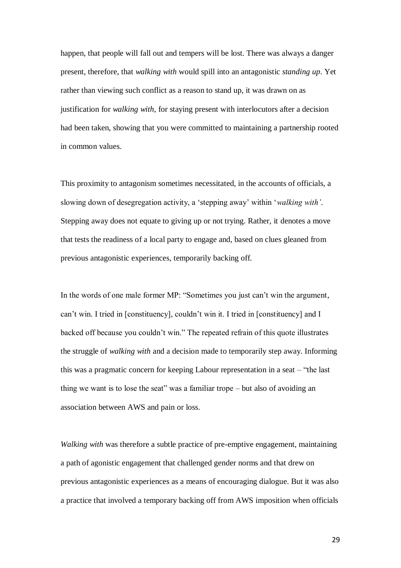happen, that people will fall out and tempers will be lost. There was always a danger present, therefore, that *walking with* would spill into an antagonistic *standing up*. Yet rather than viewing such conflict as a reason to stand up, it was drawn on as justification for *walking with*, for staying present with interlocutors after a decision had been taken, showing that you were committed to maintaining a partnership rooted in common values.

This proximity to antagonism sometimes necessitated, in the accounts of officials, a slowing down of desegregation activity, a 'stepping away' within '*walking with'*. Stepping away does not equate to giving up or not trying. Rather, it denotes a move that tests the readiness of a local party to engage and, based on clues gleaned from previous antagonistic experiences, temporarily backing off.

In the words of one male former MP: "Sometimes you just can't win the argument, can't win. I tried in [constituency], couldn't win it. I tried in [constituency] and I backed off because you couldn't win." The repeated refrain of this quote illustrates the struggle of *walking with* and a decision made to temporarily step away. Informing this was a pragmatic concern for keeping Labour representation in a seat – "the last thing we want is to lose the seat" was a familiar trope – but also of avoiding an association between AWS and pain or loss.

*Walking with* was therefore a subtle practice of pre-emptive engagement, maintaining a path of agonistic engagement that challenged gender norms and that drew on previous antagonistic experiences as a means of encouraging dialogue. But it was also a practice that involved a temporary backing off from AWS imposition when officials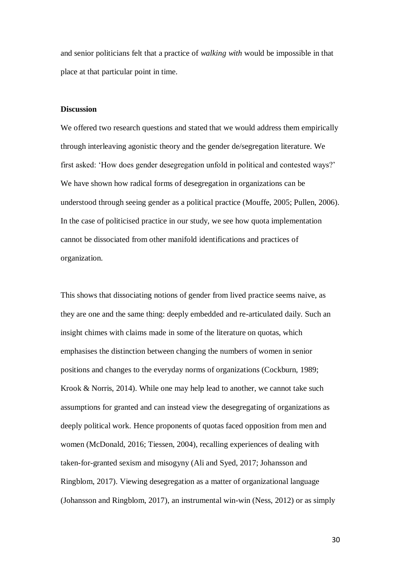and senior politicians felt that a practice of *walking with* would be impossible in that place at that particular point in time.

## **Discussion**

We offered two research questions and stated that we would address them empirically through interleaving agonistic theory and the gender de/segregation literature. We first asked: 'How does gender desegregation unfold in political and contested ways?' We have shown how radical forms of desegregation in organizations can be understood through seeing gender as a political practice (Mouffe, 2005; Pullen, 2006). In the case of politicised practice in our study, we see how quota implementation cannot be dissociated from other manifold identifications and practices of organization.

This shows that dissociating notions of gender from lived practice seems naive, as they are one and the same thing: deeply embedded and re-articulated daily. Such an insight chimes with claims made in some of the literature on quotas, which emphasises the distinction between changing the numbers of women in senior positions and changes to the everyday norms of organizations (Cockburn, 1989; Krook & Norris, 2014). While one may help lead to another, we cannot take such assumptions for granted and can instead view the desegregating of organizations as deeply political work. Hence proponents of quotas faced opposition from men and women (McDonald, 2016; Tiessen, 2004), recalling experiences of dealing with taken-for-granted sexism and misogyny (Ali and Syed, 2017; Johansson and Ringblom, 2017). Viewing desegregation as a matter of organizational language (Johansson and Ringblom, 2017), an instrumental win-win (Ness, 2012) or as simply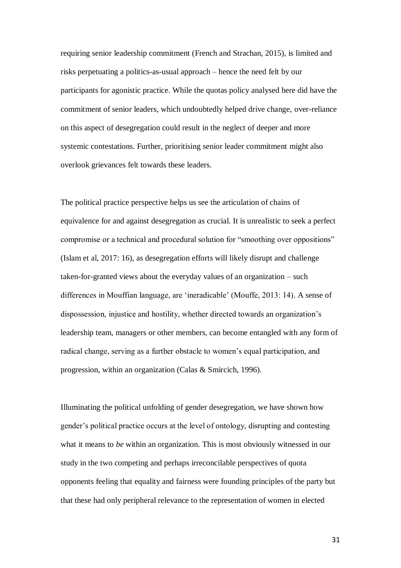requiring senior leadership commitment (French and Strachan, 2015), is limited and risks perpetuating a politics-as-usual approach – hence the need felt by our participants for agonistic practice. While the quotas policy analysed here did have the commitment of senior leaders, which undoubtedly helped drive change, over-reliance on this aspect of desegregation could result in the neglect of deeper and more systemic contestations. Further, prioritising senior leader commitment might also overlook grievances felt towards these leaders.

The political practice perspective helps us see the articulation of chains of equivalence for and against desegregation as crucial. It is unrealistic to seek a perfect compromise or a technical and procedural solution for "smoothing over oppositions" (Islam et al, 2017: 16), as desegregation efforts will likely disrupt and challenge taken-for-granted views about the everyday values of an organization – such differences in Mouffian language, are 'ineradicable' (Mouffe, 2013: 14). A sense of dispossession, injustice and hostility, whether directed towards an organization's leadership team, managers or other members, can become entangled with any form of radical change, serving as a further obstacle to women's equal participation, and progression, within an organization (Calas & Smircich, 1996).

Illuminating the political unfolding of gender desegregation, we have shown how gender's political practice occurs at the level of ontology, disrupting and contesting what it means to *be* within an organization. This is most obviously witnessed in our study in the two competing and perhaps irreconcilable perspectives of quota opponents feeling that equality and fairness were founding principles of the party but that these had only peripheral relevance to the representation of women in elected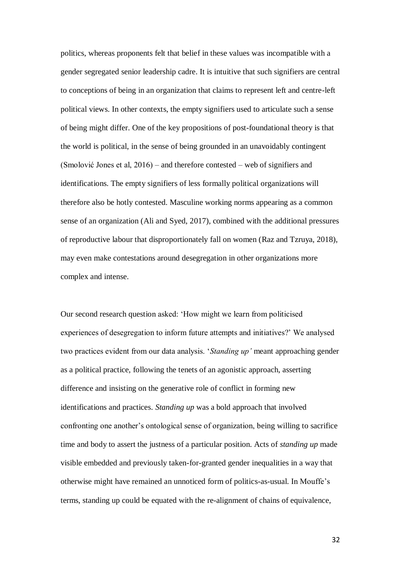politics, whereas proponents felt that belief in these values was incompatible with a gender segregated senior leadership cadre. It is intuitive that such signifiers are central to conceptions of being in an organization that claims to represent left and centre-left political views. In other contexts, the empty signifiers used to articulate such a sense of being might differ. One of the key propositions of post-foundational theory is that the world is political, in the sense of being grounded in an unavoidably contingent (Smolović Jones et al, 2016) – and therefore contested – web of signifiers and identifications. The empty signifiers of less formally political organizations will therefore also be hotly contested. Masculine working norms appearing as a common sense of an organization (Ali and Syed, 2017), combined with the additional pressures of reproductive labour that disproportionately fall on women (Raz and Tzruya, 2018), may even make contestations around desegregation in other organizations more complex and intense.

Our second research question asked: 'How might we learn from politicised experiences of desegregation to inform future attempts and initiatives?' We analysed two practices evident from our data analysis. '*Standing up'* meant approaching gender as a political practice, following the tenets of an agonistic approach, asserting difference and insisting on the generative role of conflict in forming new identifications and practices. *Standing up* was a bold approach that involved confronting one another's ontological sense of organization, being willing to sacrifice time and body to assert the justness of a particular position. Acts of *standing up* made visible embedded and previously taken-for-granted gender inequalities in a way that otherwise might have remained an unnoticed form of politics-as-usual. In Mouffe's terms, standing up could be equated with the re-alignment of chains of equivalence,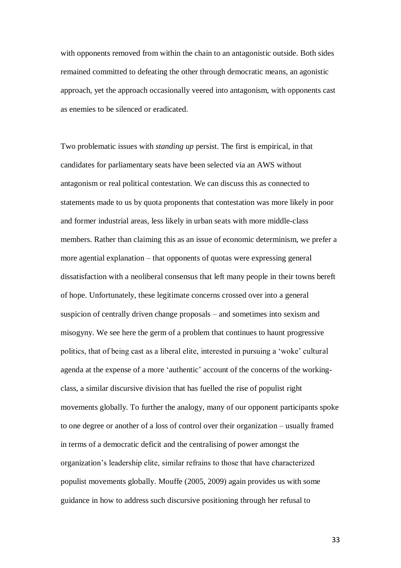with opponents removed from within the chain to an antagonistic outside. Both sides remained committed to defeating the other through democratic means, an agonistic approach, yet the approach occasionally veered into antagonism, with opponents cast as enemies to be silenced or eradicated.

Two problematic issues with *standing up* persist. The first is empirical, in that candidates for parliamentary seats have been selected via an AWS without antagonism or real political contestation. We can discuss this as connected to statements made to us by quota proponents that contestation was more likely in poor and former industrial areas, less likely in urban seats with more middle-class members. Rather than claiming this as an issue of economic determinism, we prefer a more agential explanation – that opponents of quotas were expressing general dissatisfaction with a neoliberal consensus that left many people in their towns bereft of hope. Unfortunately, these legitimate concerns crossed over into a general suspicion of centrally driven change proposals – and sometimes into sexism and misogyny. We see here the germ of a problem that continues to haunt progressive politics, that of being cast as a liberal elite, interested in pursuing a 'woke' cultural agenda at the expense of a more 'authentic' account of the concerns of the workingclass, a similar discursive division that has fuelled the rise of populist right movements globally. To further the analogy, many of our opponent participants spoke to one degree or another of a loss of control over their organization – usually framed in terms of a democratic deficit and the centralising of power amongst the organization's leadership elite, similar refrains to those that have characterized populist movements globally. Mouffe (2005, 2009) again provides us with some guidance in how to address such discursive positioning through her refusal to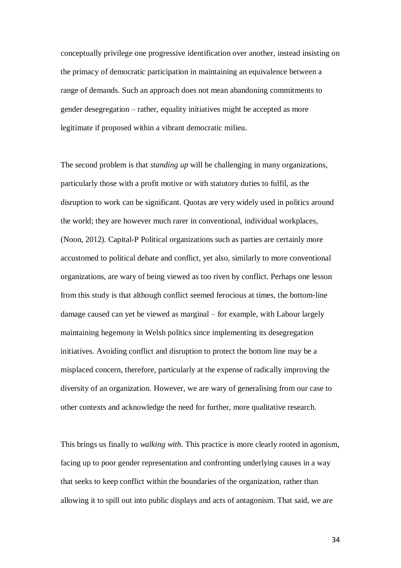conceptually privilege one progressive identification over another, instead insisting on the primacy of democratic participation in maintaining an equivalence between a range of demands. Such an approach does not mean abandoning commitments to gender desegregation – rather, equality initiatives might be accepted as more legitimate if proposed within a vibrant democratic milieu.

The second problem is that *standing up* will be challenging in many organizations, particularly those with a profit motive or with statutory duties to fulfil, as the disruption to work can be significant. Quotas are very widely used in politics around the world; they are however much rarer in conventional, individual workplaces, (Noon, 2012). Capital-P Political organizations such as parties are certainly more accustomed to political debate and conflict, yet also, similarly to more conventional organizations, are wary of being viewed as too riven by conflict. Perhaps one lesson from this study is that although conflict seemed ferocious at times, the bottom-line damage caused can yet be viewed as marginal – for example, with Labour largely maintaining hegemony in Welsh politics since implementing its desegregation initiatives. Avoiding conflict and disruption to protect the bottom line may be a misplaced concern, therefore, particularly at the expense of radically improving the diversity of an organization. However, we are wary of generalising from our case to other contexts and acknowledge the need for further, more qualitative research.

This brings us finally to *walking with*. This practice is more clearly rooted in agonism, facing up to poor gender representation and confronting underlying causes in a way that seeks to keep conflict within the boundaries of the organization, rather than allowing it to spill out into public displays and acts of antagonism. That said, we are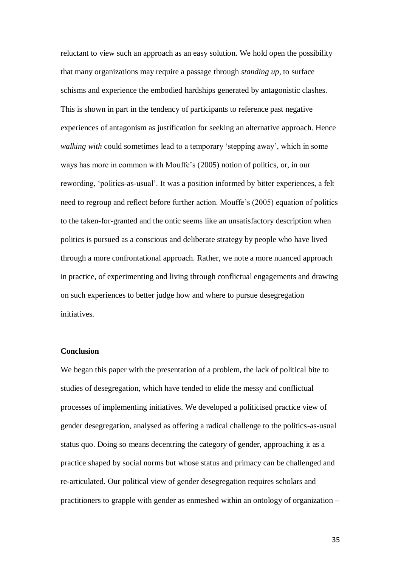reluctant to view such an approach as an easy solution. We hold open the possibility that many organizations may require a passage through *standing up*, to surface schisms and experience the embodied hardships generated by antagonistic clashes. This is shown in part in the tendency of participants to reference past negative experiences of antagonism as justification for seeking an alternative approach. Hence *walking with* could sometimes lead to a temporary 'stepping away', which in some ways has more in common with Mouffe's (2005) notion of politics, or, in our rewording, 'politics-as-usual'. It was a position informed by bitter experiences, a felt need to regroup and reflect before further action. Mouffe's (2005) equation of politics to the taken-for-granted and the ontic seems like an unsatisfactory description when politics is pursued as a conscious and deliberate strategy by people who have lived through a more confrontational approach. Rather, we note a more nuanced approach in practice, of experimenting and living through conflictual engagements and drawing on such experiences to better judge how and where to pursue desegregation initiatives.

## **Conclusion**

We began this paper with the presentation of a problem, the lack of political bite to studies of desegregation, which have tended to elide the messy and conflictual processes of implementing initiatives. We developed a politicised practice view of gender desegregation, analysed as offering a radical challenge to the politics-as-usual status quo. Doing so means decentring the category of gender, approaching it as a practice shaped by social norms but whose status and primacy can be challenged and re-articulated. Our political view of gender desegregation requires scholars and practitioners to grapple with gender as enmeshed within an ontology of organization –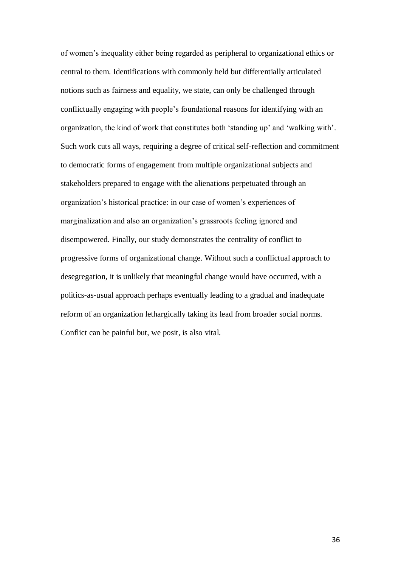of women's inequality either being regarded as peripheral to organizational ethics or central to them. Identifications with commonly held but differentially articulated notions such as fairness and equality, we state, can only be challenged through conflictually engaging with people's foundational reasons for identifying with an organization, the kind of work that constitutes both 'standing up' and 'walking with'. Such work cuts all ways, requiring a degree of critical self-reflection and commitment to democratic forms of engagement from multiple organizational subjects and stakeholders prepared to engage with the alienations perpetuated through an organization's historical practice: in our case of women's experiences of marginalization and also an organization's grassroots feeling ignored and disempowered. Finally, our study demonstrates the centrality of conflict to progressive forms of organizational change. Without such a conflictual approach to desegregation, it is unlikely that meaningful change would have occurred, with a politics-as-usual approach perhaps eventually leading to a gradual and inadequate reform of an organization lethargically taking its lead from broader social norms. Conflict can be painful but, we posit, is also vital.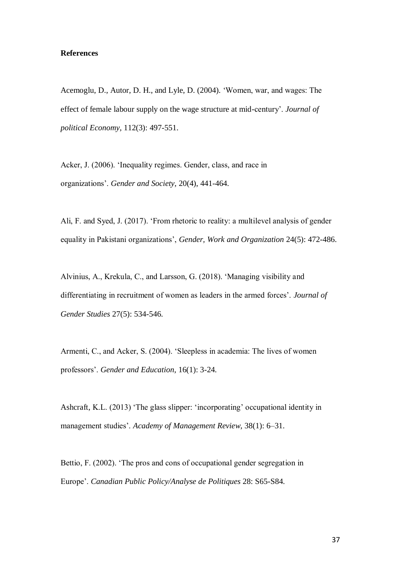## **References**

Acemoglu, D., Autor, D. H., and Lyle, D. (2004). 'Women, war, and wages: The effect of female labour supply on the wage structure at mid-century'. *Journal of political Economy*, 112(3): 497-551.

Acker, J. (2006). 'Inequality regimes. Gender, class, and race in organizations'. *Gender and Society*, 20(4), 441-464.

Ali, F. and Syed, J. (2017). 'From rhetoric to reality: a multilevel analysis of gender equality in Pakistani organizations', *Gender, Work and Organization* 24(5): 472-486.

Alvinius, A., Krekula, C., and Larsson, G. (2018). 'Managing visibility and differentiating in recruitment of women as leaders in the armed forces'. *Journal of Gender Studies* 27(5): 534-546.

Armenti, C., and Acker, S. (2004). 'Sleepless in academia: The lives of women professors'. *Gender and Education*, 16(1): 3-24.

Ashcraft, K.L. (2013) 'The glass slipper: 'incorporating' occupational identity in management studies'. *Academy of Management Review*, 38(1): 6–31.

Bettio, F. (2002). 'The pros and cons of occupational gender segregation in Europe'. *Canadian Public Policy/Analyse de Politiques* 28: S65-S84.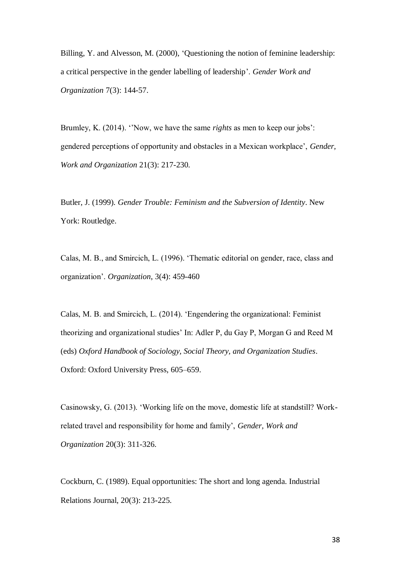Billing, Y. and Alvesson, M. (2000), 'Questioning the notion of feminine leadership: a critical perspective in the gender labelling of leadership'. *Gender Work and Organization* 7(3): 144-57.

Brumley, K. (2014). ''Now, we have the same *rights* as men to keep our jobs': gendered perceptions of opportunity and obstacles in a Mexican workplace', *Gender, Work and Organization* 21(3): 217-230.

Butler, J. (1999). *Gender Trouble: Feminism and the Subversion of Identity*. New York: Routledge.

Calas, M. B., and Smircich, L. (1996). 'Thematic editorial on gender, race, class and organization'. *Organization*, 3(4): 459-460

Calas, M. B. and Smircich, L. (2014). 'Engendering the organizational: Feminist theorizing and organizational studies' In: Adler P, du Gay P, Morgan G and Reed M (eds) *Oxford Handbook of Sociology, Social Theory, and Organization Studies*. Oxford: Oxford University Press, 605–659.

Casinowsky, G. (2013). 'Working life on the move, domestic life at standstill? Workrelated travel and responsibility for home and family', *Gender, Work and Organization* 20(3): 311-326.

Cockburn, C. (1989). Equal opportunities: The short and long agenda. Industrial Relations Journal, 20(3): 213-225.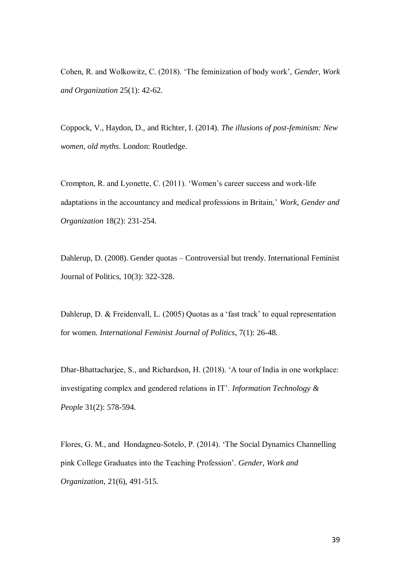Cohen, R. and Wolkowitz, C. (2018). 'The feminization of body work', *Gender, Work and Organization* 25(1): 42-62.

Coppock, V., Haydon, D., and Richter, I. (2014). *The illusions of post-feminism: New women, old myths*. London: Routledge.

Crompton, R. and Lyonette, C. (2011). 'Women's career success and work-life adaptations in the accountancy and medical professions in Britain,' *Work, Gender and Organization* 18(2): 231-254.

Dahlerup, D. (2008). Gender quotas – Controversial but trendy. International Feminist Journal of Politics, 10(3): 322-328.

Dahlerup, D. & Freidenvall, L. (2005) Quotas as a 'fast track' to equal representation for women. *International Feminist Journal of Politics*, 7(1): 26-48.

Dhar-Bhattacharjee, S., and Richardson, H. (2018). 'A tour of India in one workplace: investigating complex and gendered relations in IT'. *Information Technology & People* 31(2): 578-594.

Flores, G. M., and Hondagneu‐Sotelo, P. (2014). 'The Social Dynamics Channelling pink College Graduates into the Teaching Profession'. *Gender, Work and Organization*, 21(6), 491-515.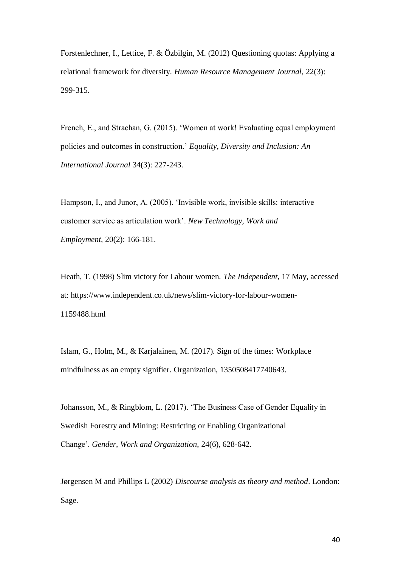Forstenlechner, I., Lettice, F. & Özbilgin, M. (2012) Questioning quotas: Applying a relational framework for diversity. *Human Resource Management Journal*, 22(3): 299-315.

French, E., and Strachan, G. (2015). 'Women at work! Evaluating equal employment policies and outcomes in construction.' *Equality, Diversity and Inclusion: An International Journal* 34(3): 227-243.

Hampson, I., and Junor, A. (2005). 'Invisible work, invisible skills: interactive customer service as articulation work'. *New Technology, Work and Employment,* 20(2): 166-181.

Heath, T. (1998) Slim victory for Labour women. *The Independent*, 17 May, accessed at: https://www.independent.co.uk/news/slim-victory-for-labour-women-1159488.html

Islam, G., Holm, M., & Karjalainen, M. (2017). Sign of the times: Workplace mindfulness as an empty signifier. Organization, 1350508417740643.

Johansson, M., & Ringblom, L. (2017). 'The Business Case of Gender Equality in Swedish Forestry and Mining: Restricting or Enabling Organizational Change'. *Gender, Work and Organization*, 24(6), 628-642.

Jørgensen M and Phillips L (2002) *Discourse analysis as theory and method*. London: Sage.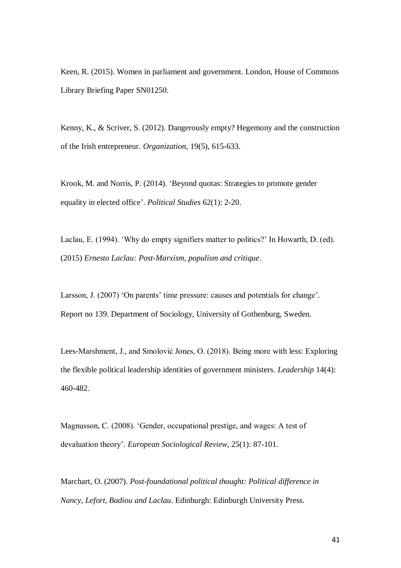Keen, R. (2015). Women in parliament and government. London, House of Commons Library Briefing Paper SN01250.

Kenny, K., & Scriver, S. (2012). Dangerously empty? Hegemony and the construction of the Irish entrepreneur. *Organization*, 19(5), 615-633.

Krook, M. and Norris, P. (2014). 'Beyond quotas: Strategies to promote gender equality in elected office'. *Political Studies* 62(1): 2-20.

Laclau, E. (1994). 'Why do empty signifiers matter to politics?' In Howarth, D. (ed). (2015) *Ernesto Laclau: Post-Marxism, populism and critique*.

Larsson, J. (2007) 'On parents' time pressure: causes and potentials for change'. Report no 139. Department of Sociology, University of Gothenburg, Sweden.

Lees-Marshment, J., and Smolović Jones, O. (2018). Being more with less: Exploring the flexible political leadership identities of government ministers. *Leadership* 14(4): 460-482.

Magnusson, C. (2008). 'Gender, occupational prestige, and wages: A test of devaluation theory'. *European Sociological Review*, 25(1): 87-101.

Marchart, O. (2007). *Post-foundational political thought: Political difference in Nancy, Lefort, Badiou and Laclau*. Edinburgh: Edinburgh University Press.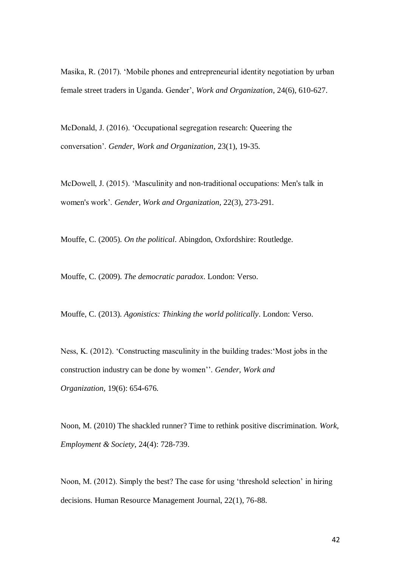Masika, R. (2017). 'Mobile phones and entrepreneurial identity negotiation by urban female street traders in Uganda. Gender', *Work and Organization*, 24(6), 610-627.

McDonald, J. (2016). 'Occupational segregation research: Queering the conversation'. *Gender, Work and Organization*, 23(1), 19-35.

McDowell, J. (2015). 'Masculinity and non-traditional occupations: Men's talk in women's work'. *Gender, Work and Organization*, 22(3), 273-291.

Mouffe, C. (2005). *On the political*. Abingdon, Oxfordshire: Routledge.

Mouffe, C. (2009). *The democratic paradox*. London: Verso.

Mouffe, C. (2013). *Agonistics: Thinking the world politically*. London: Verso.

Ness, K. (2012). 'Constructing masculinity in the building trades:'Most jobs in the construction industry can be done by women''. *Gender, Work and Organization*, 19(6): 654-676.

Noon, M. (2010) The shackled runner? Time to rethink positive discrimination. *Work, Employment & Society*, 24(4): 728-739.

Noon, M. (2012). Simply the best? The case for using 'threshold selection' in hiring decisions. Human Resource Management Journal, 22(1), 76-88.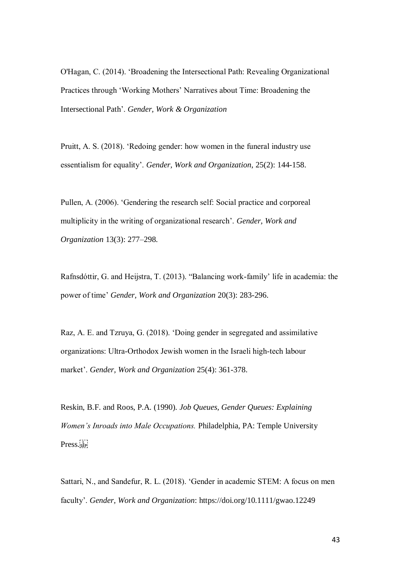O'Hagan, C. (2014). 'Broadening the Intersectional Path: Revealing Organizational Practices through 'Working Mothers' Narratives about Time: Broadening the Intersectional Path'. *Gender, Work & Organization*

Pruitt, A. S. (2018). 'Redoing gender: how women in the funeral industry use essentialism for equality'. *Gender, Work and Organization*, 25(2): 144-158.

Pullen, A. (2006). 'Gendering the research self: Social practice and corporeal multiplicity in the writing of organizational research'. *Gender, Work and Organization* 13(3): 277–298.

Rafnsdóttir, G. and Heijstra, T. (2013). "Balancing work-family' life in academia: the power of time' *Gender, Work and Organization* 20(3): 283-296.

Raz, A. E. and Tzruya, G. (2018). 'Doing gender in segregated and assimilative organizations: Ultra‐Orthodox Jewish women in the Israeli high‐tech labour market'. *Gender, Work and Organization* 25(4): 361-378.

Reskin, B.F. and Roos, P.A. (1990). *Job Queues, Gender Queues: Explaining Women's Inroads into Male Occupations.* Philadelphia, PA: Temple University Press.

Sattari, N., and Sandefur, R. L. (2018). 'Gender in academic STEM: A focus on men faculty'. *Gender, Work and Organization*: https://doi.org/10.1111/gwao.12249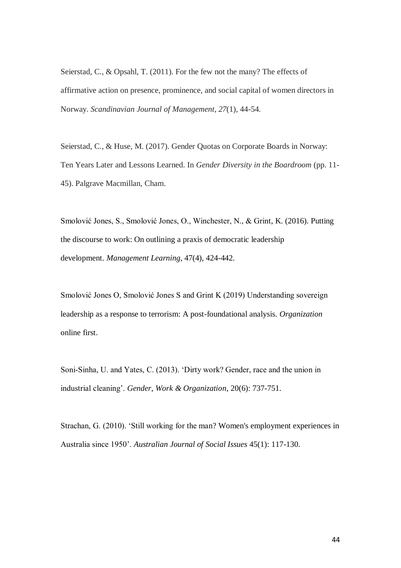Seierstad, C., & Opsahl, T. (2011). For the few not the many? The effects of affirmative action on presence, prominence, and social capital of women directors in Norway. *Scandinavian Journal of Management*, *27*(1), 44-54.

Seierstad, C., & Huse, M. (2017). Gender Quotas on Corporate Boards in Norway: Ten Years Later and Lessons Learned. In *Gender Diversity in the Boardroom* (pp. 11- 45). Palgrave Macmillan, Cham.

Smolović Jones, S., Smolović Jones, O., Winchester, N., & Grint, K. (2016). Putting the discourse to work: On outlining a praxis of democratic leadership development. *Management Learning*, 47(4), 424-442.

Smolović Jones O, Smolović Jones S and Grint K (2019) Understanding sovereign leadership as a response to terrorism: A post-foundational analysis. *Organization* online first.

Soni‐Sinha, U. and Yates, C. (2013). 'Dirty work? Gender, race and the union in industrial cleaning'. *Gender, Work & Organization*, 20(6): 737-751.

Strachan, G. (2010). 'Still working for the man? Women's employment experiences in Australia since 1950'. *Australian Journal of Social Issues* 45(1): 117-130.